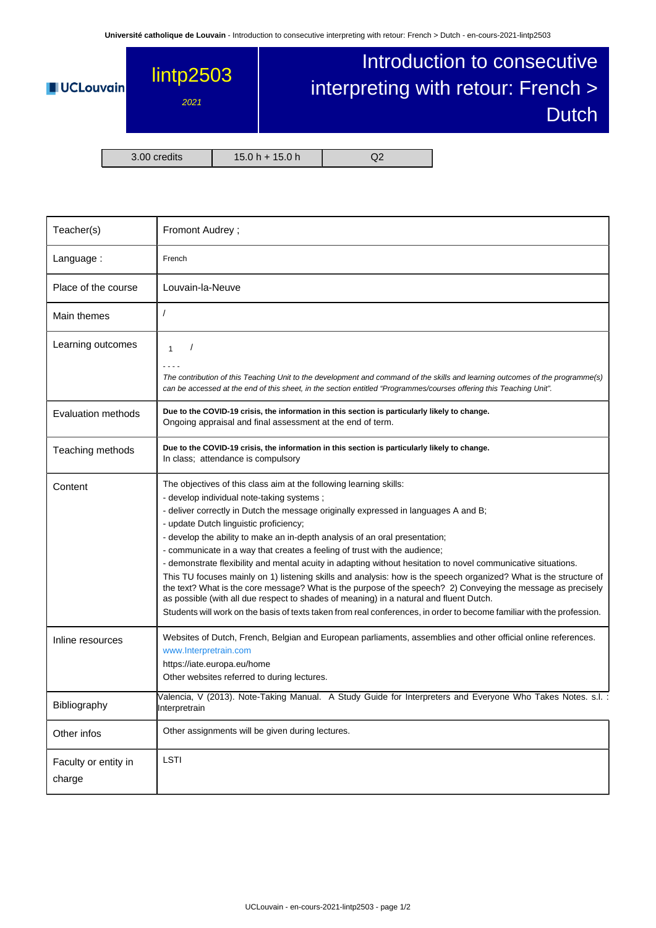**Université catholique de Louvain** - Introduction to consecutive interpreting with retour: French > Dutch - en-cours-2021-lintp2503



| Teacher(s)                     | Fromont Audrey;                                                                                                                                                                                                                                                                                                                                                                                                                                                                                                                                                                                                                                                                                                                                                                                                                                                                                                                                                                        |  |  |  |
|--------------------------------|----------------------------------------------------------------------------------------------------------------------------------------------------------------------------------------------------------------------------------------------------------------------------------------------------------------------------------------------------------------------------------------------------------------------------------------------------------------------------------------------------------------------------------------------------------------------------------------------------------------------------------------------------------------------------------------------------------------------------------------------------------------------------------------------------------------------------------------------------------------------------------------------------------------------------------------------------------------------------------------|--|--|--|
| Language:                      | French                                                                                                                                                                                                                                                                                                                                                                                                                                                                                                                                                                                                                                                                                                                                                                                                                                                                                                                                                                                 |  |  |  |
| Place of the course            | Louvain-la-Neuve                                                                                                                                                                                                                                                                                                                                                                                                                                                                                                                                                                                                                                                                                                                                                                                                                                                                                                                                                                       |  |  |  |
| Main themes                    | 1                                                                                                                                                                                                                                                                                                                                                                                                                                                                                                                                                                                                                                                                                                                                                                                                                                                                                                                                                                                      |  |  |  |
| Learning outcomes              | $\prime$<br>$\mathbf{1}$                                                                                                                                                                                                                                                                                                                                                                                                                                                                                                                                                                                                                                                                                                                                                                                                                                                                                                                                                               |  |  |  |
|                                | $   -$<br>The contribution of this Teaching Unit to the development and command of the skills and learning outcomes of the programme(s)<br>can be accessed at the end of this sheet, in the section entitled "Programmes/courses offering this Teaching Unit".                                                                                                                                                                                                                                                                                                                                                                                                                                                                                                                                                                                                                                                                                                                         |  |  |  |
| Evaluation methods             | Due to the COVID-19 crisis, the information in this section is particularly likely to change.<br>Ongoing appraisal and final assessment at the end of term.                                                                                                                                                                                                                                                                                                                                                                                                                                                                                                                                                                                                                                                                                                                                                                                                                            |  |  |  |
| Teaching methods               | Due to the COVID-19 crisis, the information in this section is particularly likely to change.<br>In class; attendance is compulsory                                                                                                                                                                                                                                                                                                                                                                                                                                                                                                                                                                                                                                                                                                                                                                                                                                                    |  |  |  |
| Content                        | The objectives of this class aim at the following learning skills:<br>- develop individual note-taking systems;<br>- deliver correctly in Dutch the message originally expressed in languages A and B;<br>- update Dutch linguistic proficiency;<br>- develop the ability to make an in-depth analysis of an oral presentation;<br>- communicate in a way that creates a feeling of trust with the audience;<br>- demonstrate flexibility and mental acuity in adapting without hesitation to novel communicative situations.<br>This TU focuses mainly on 1) listening skills and analysis: how is the speech organized? What is the structure of<br>the text? What is the core message? What is the purpose of the speech? 2) Conveying the message as precisely<br>as possible (with all due respect to shades of meaning) in a natural and fluent Dutch.<br>Students will work on the basis of texts taken from real conferences, in order to become familiar with the profession. |  |  |  |
| Inline resources               | Websites of Dutch, French, Belgian and European parliaments, assemblies and other official online references.<br>www.Interpretrain.com<br>https://iate.europa.eu/home<br>Other websites referred to during lectures.                                                                                                                                                                                                                                                                                                                                                                                                                                                                                                                                                                                                                                                                                                                                                                   |  |  |  |
| Bibliography                   | Valencia, V (2013). Note-Taking Manual. A Study Guide for Interpreters and Everyone Who Takes Notes. s.l. :<br>Interpretrain                                                                                                                                                                                                                                                                                                                                                                                                                                                                                                                                                                                                                                                                                                                                                                                                                                                           |  |  |  |
| Other infos                    | Other assignments will be given during lectures.                                                                                                                                                                                                                                                                                                                                                                                                                                                                                                                                                                                                                                                                                                                                                                                                                                                                                                                                       |  |  |  |
| Faculty or entity in<br>charge | LSTI                                                                                                                                                                                                                                                                                                                                                                                                                                                                                                                                                                                                                                                                                                                                                                                                                                                                                                                                                                                   |  |  |  |